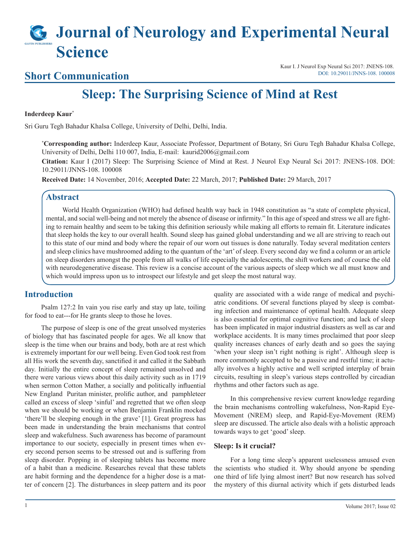# **Journal of Neurology and Experimental Neural Science**

## **Short Communication**

Kaur I. J Neurol Exp Neural Sci 2017: JNENS-108. [DOI: 10.29011/JNNS-108. 100008](http://doi.org/10.29011/JNNS-108. 100008)

## **Sleep: The Surprising Science of Mind at Rest**

#### **Inderdeep Kaur\***

Sri Guru Tegh Bahadur Khalsa College, University of Delhi, Delhi, India.

**\* Corresponding author:** Inderdeep Kaur, Associate Professor, Department of Botany, Sri Guru Tegh Bahadur Khalsa College, University of Delhi, Delhi 110 007, India, E-mail: kaurid2006@gmail.com

**Citation:** Kaur I (2017) Sleep: The Surprising Science of Mind at Rest. J Neurol Exp Neural Sci 2017: JNENS-108. DOI: 10.29011/JNNS-108. 100008

**Received Date:** 14 November, 2016; **Accepted Date:** 22 March, 2017; **Published Date:** 29 March, 2017

#### **Abstract**

World Health Organization (WHO) had defined health way back in 1948 constitution as "a state of complete physical, mental, and social well-being and not merely the absence of disease or infirmity." In this age of speed and stress we all are fighting to remain healthy and seem to be taking this definition seriously while making all efforts to remain fit. Literature indicates that sleep holds the key to our overall health. Sound sleep has gained global understanding and we all are striving to reach out to this state of our mind and body where the repair of our worn out tissues is done naturally. Today several meditation centers and sleep clinics have mushroomed adding to the quantum of the 'art' of sleep. Every second day we find a column or an article on sleep disorders amongst the people from all walks of life especially the adolescents, the shift workers and of course the old with neurodegenerative disease. This review is a concise account of the various aspects of sleep which we all must know and which would impress upon us to introspect our lifestyle and get sleep the most natural way.

#### **Introduction**

Psalm 127:2 In vain you rise early and stay up late, toiling for food to eat---for He grants sleep to those he loves.

The purpose of sleep is one of the great unsolved mysteries of biology that has fascinated people for ages. We all know that sleep is the time when our brains and body, both are at rest which is extremely important for our well being. Even God took rest from all His work the seventh day, sanctified it and called it the Sabbath day. Initially the entire concept of sleep remained unsolved and there were various views about this daily activity such as in 1719 when sermon Cotton Mather, a socially and politically influential New England Puritan minister, prolific author, and pamphleteer called an excess of sleep 'sinful' and regretted that we often sleep when we should be working or when Benjamin Franklin mocked 'there'll be sleeping enough in the grave' [1]. Great progress has been made in understanding the brain mechanisms that control sleep and wakefulness. Such awareness has become of paramount importance to our society, especially in present times when every second person seems to be stressed out and is suffering from sleep disorder. Popping in of sleeping tablets has become more of a habit than a medicine. Researches reveal that these tablets are habit forming and the dependence for a higher dose is a matter of concern [2]. The disturbances in sleep pattern and its poor

quality are associated with a wide range of medical and psychiatric conditions. Of several functions played by sleep is combating infection and maintenance of optimal health. Adequate sleep is also essential for optimal cognitive function; and lack of sleep has been implicated in major industrial disasters as well as car and workplace accidents. It is many times proclaimed that poor sleep quality increases chances of early death and so goes the saying 'when your sleep isn't right nothing is right'. Although sleep is more commonly accepted to be a passive and restful time; it actually involves a highly active and well scripted interplay of brain circuits, resulting in sleep's various steps controlled by circadian rhythms and other factors such as age.

In this comprehensive review current knowledge regarding the brain mechanisms controlling wakefulness, Non-Rapid Eye-Movement (NREM) sleep, and Rapid-Eye-Movement (REM) sleep are discussed. The article also deals with a holistic approach towards ways to get 'good' sleep.

#### **Sleep: Is it crucial?**

For a long time sleep's apparent uselessness amused even the scientists who studied it. Why should anyone be spending one third of life lying almost inert? But now research has solved the mystery of this diurnal activity which if gets disturbed leads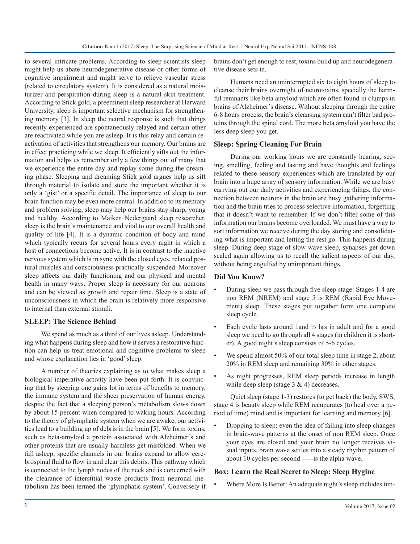to several intricate problems. According to sleep scientists sleep might help us abate neurodegenerative disease or other forms of cognitive impairment and might serve to relieve vascular stress (related to circulatory system). It is considered as a natural moisturizer and perspiration during sleep is a natural skin treatment. According to Stick gold, a preeminent sleep researcher at Harward University, sleep is important selective mechanism for strengthening memory [3]. In sleep the neural response is such that things recently experienced are spontaneously relayed and certain other are reactivated while you are asleep. It is this relay and certain reactivation of activities that strengthens our memory. Our brains are in effect practicing while we sleep. It efficiently sifts out the information and helps us remember only a few things out of many that we experience the entire day and replay some during the dreaming phase. Sleeping and dreaming Stick gold argues help us sift through material to isolate and store the important whether it is only a 'gist' or a specific detail. The importance of sleep to our brain function may be even more central. In addition to its memory and problem solving, sleep may help our brains stay sharp, young and healthy. According to Maiken Nedergaard sleep researcher, sleep is the brain's maintenance and vital to our overall health and quality of life [4]. It is a dynamic condition of body and mind which typically recurs for several hours every night in which a host of connections become active. It is in contrast to the inactive nervous system which is in sync with the closed eyes, relaxed postural muscles and consciousness practically suspended. Moreover sleep affects our daily functioning and our physical and mental health in many ways. Proper sleep is necessary for our neurons and can be viewed as growth and repair time. Sleep is a state of unconsciousness in which the brain is relatively more responsive to internal than external stimuli.

#### **SLEEP: The Science Behind**

We spend as much as a third of our lives asleep. Understanding what happens during sleep and how it serves a restorative function can help us treat emotional and cognitive problems to sleep and whose explanation lies in 'good' sleep.

A number of theories explaining as to what makes sleep a biological imperative activity have been put forth. It is convincing that by sleeping one gains lot in terms of benefits to memory, the immune system and the sheer preservation of human energy, despite the fact that a sleeping person's metabolism slows down by about 15 percent when compared to waking hours. According to the theory of glymphatic system when we are awake, our activities lead to a building up of debris in the brain [5]. We form toxins, such as beta-amyloid a protein associated with Alzheimer's and other proteins that are usually harmless get misfolded. When we fall asleep, specific channels in our brains expand to allow cerebrospinal fluid to flow in and clear this debris. This pathway which is connected to the lymph nodes of the neck and is concerned with the clearance of interstitial waste products from neuronal metabolism has been termed the 'glymphatic system'. Conversely if brains don't get enough to rest, toxins build up and neurodegenerative disease sets in.

Humans need an uninterrupted six to eight hours of sleep to cleanse their brains overnight of neurotoxins, specially the harmful remnants like beta amyloid which are often found in clumps in brains of Alzheimer's disease. Without sleeping through the entire 6-8 hours process, the brain's cleansing system can't filter bad proteins through the spinal cord. The more beta amyloid you have the less deep sleep you get.

#### **Sleep: Spring Cleaning For Brain**

During our working hours we are constantly hearing, seeing, smelling, feeling and tasting and have thoughts and feelings related to these sensory experiences which are translated by our brain into a huge array of sensory information. While we are busy carrying out our daily activities and experiencing things, the connection between neurons in the brain are busy gathering information and the brain tries to process selective information, forgetting that it doesn't want to remember. If we don't filter some of this information our brains become overloaded. We must have a way to sort information we receive during the day storing and consolidating what is important and letting the rest go. This happens during sleep. During deep stage of slow wave sleep, synapses get down scaled again allowing us to recall the salient aspects of our day, without being engulfed by unimportant things.

#### **Did You Know?**

- During sleep we pass through five sleep stage: Stages 1-4 are non REM (NREM) and stage 5 is REM (Rapid Eye Movement) sleep. These stages put together form one complete sleep cycle.
- Each cycle lasts around 1 and  $\frac{1}{2}$  hrs in adult and for a good sleep we need to go through all 4 stages (in children it is shorter). A good night's sleep consists of 5-6 cycles.
- We spend almost 50% of our total sleep time in stage 2, about 20% in REM sleep and remaining 30% in other stages.
- As night progresses, REM sleep periods increase in length while deep sleep (stage  $3 \& 4$ ) decreases.

Quiet sleep (stage 1-3) restores (to get back) the body, SWS, stage 4 is beauty sleep while REM recuperates (to heal over a period of time) mind and is important for learning and memory [6].

• Dropping to sleep: even the idea of falling into sleep changes in brain-wave patterns at the onset of non REM sleep. Once your eyes are closed and your brain no longer receives visual inputs, brain wave settles into a steady rhythm pattern of about 10 cycles per second -----is the alpha wave.

#### **Box: Learn the Real Secret to Sleep: Sleep Hygine**

Where More Is Better: An adequate night's sleep includes tim-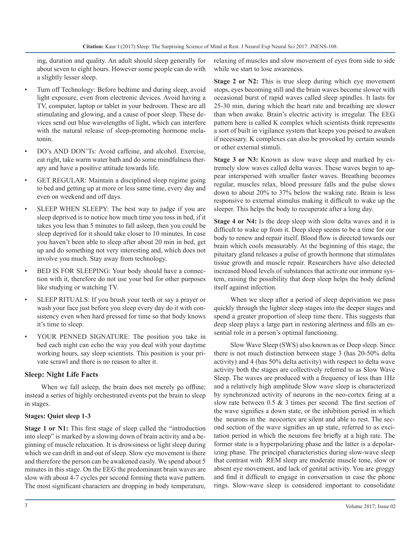ing, duration and quality. An adult should sleep generally for about seven to eight hours. However some people can do with a slightly lesser sleep.

- Turn off Technology: Before bedtime and during sleep, avoid light exposure, even from electronic devices. Avoid having a TV, computer, laptop or tablet in your bedroom. These are all stimulating and glowing, and a cause of poor sleep. These devices send out blue wavelengths of light, which can interfere with the natural release of sleep-promoting hormone melatonin.
- DO's AND DON'Ts: Avoid caffeine, and alcohol. Exercise, eat right, take warm water bath and do some mindfulness therapy and have a positive attitude towards life.
- GET REGULAR: Maintain a disciplined sleep regime going to bed and getting up at more or less same time, every day and even on weekend and off days.
- SLEEP WHEN SLEEPY: The best way to judge if you are sleep deprived is to notice how much time you toss in bed, if it takes you less than 5 minutes to fall asleep, then you could be sleep deprived for it should take closer to 10 minutes. In case you haven't been able to sleep after about 20 min in bed, get up and do something not very interesting and, which does not involve you much. Stay away from technology.
- BED IS FOR SLEEPING: Your body should have a connection with it, therefore do not use your bed for other purposes like studying or watching TV.
- SLEEP RITUALS: If you brush your teeth or say a prayer or wash your face just before you sleep every day do it with consistency even when hard pressed for time so that body knows it's time to sleep.
- YOUR PENNED SIGNATURE: The position you take in bed each night can echo the way you deal with your daytime working hours, say sleep scientists. This position is your private scrawl and there is no reason to alter it.

#### **Sleep: Night Life Facts**

When we fall asleep, the brain does not merely go offline; instead a series of highly orchestrated events put the brain to sleep in stages.

#### **Stages: Quiet sleep 1-3**

**Stage 1 or N1:** This first stage of sleep called the "introduction" into sleep" is marked by a slowing down of brain activity and a beginning of muscle relaxation. It is drowsiness or light sleep during which we can drift in and out of sleep. Slow eye movement is there and therefore the person can be awakened easily. We spend about 5 minutes in this stage. On the EEG the predominant brain waves are slow with about 4-7 cycles per second forming theta wave pattern. The most significant characters are dropping in body temperature,

relaxing of muscles and slow movement of eyes from side to side while we start to lose awareness.

**Stage 2 or N2:** This is true sleep during which eye movement stops, eyes becoming still and the brain waves become slower with occasional burst of rapid waves called sleep spindles. It lasts for 25-30 min, during which the heart rate and breathing are slower than when awake. Brain's electric activity is irregular. The EEG pattern here is called K complex which scientists think represents a sort of built in vigilance system that keeps you poised to awaken if necessary. K complexes can also be provoked by certain sounds or other external stimuli.

**Stage 3 or N3:** Known as slow wave sleep and marked by extremely slow waves called delta waves. These waves begin to appear interspersed with smaller faster waves. Breathing becomes regular, muscles relax, blood pressure falls and the pulse slows down to about 20% to 37% below the waking rate. Brain is less responsive to external stimulus making it difficult to wake up the sleeper. This helps the body to recuperate after a long day.

**Stage 4 or N4:** Is the deep sleep with slow delta waves and it is difficult to wake up from it. Deep sleep seems to be a time for our body to renew and repair itself. Blood flow is directed towards our brain which cools measurably. At the beginning of this stage, the pituitary gland releases a pulse of growth hormone that stimulates tissue growth and muscle repair. Researchers have also detected increased blood levels of substances that activate our immune system, raising the possibility that deep sleep helps the body defend itself against infection.

When we sleep after a period of sleep deprivation we pass quickly through the lighter sleep stages into the deeper stages and spend a greater proportion of sleep time there. This suggests that deep sleep plays a large part in restoring alertness and fills an essential role in a person's optimal functioning.

Slow Wave Sleep (SWS) also known as or Deep sleep. Since there is not much distinction between stage 3 (has 20-50% delta activity) and 4 (has 50% delta activity) with respect to delta wave activity both the stages are collectively referred to as Slow Wave Sleep. The waves are produced with a frequency of less than 1Hz and a relatively high amplitude Slow wave sleep is characterized by synchronized activity of neurons in the neo-cortex firing at a slow rate between 0.5 & 3 times per second. The first section of the wave signifies a down state, or the inhibition period in which the neurons in the neocortex are silent and able to rest. The second section of the wave signifies an up state, referred to as excitation period in which the neurons fire briefly at a high rate. The former state is a hyperpolarizing phase and the latter is a depolarizing phase. The principal characteristics during slow-wave sleep that contrast with REM sleep are moderate muscle tone, slow or absent eye movement, and lack of genital activity. You are groggy and find it difficult to engage in conversation in case the phone rings. Slow-wave sleep is considered important to consolidate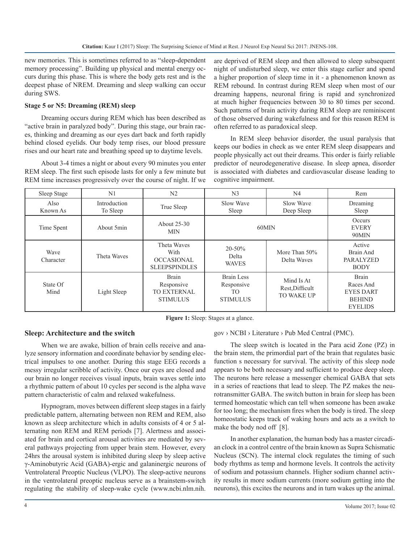new memories. This is sometimes referred to as "sleep-dependent memory processing". Building up physical and mental energy occurs during this phase. This is where the body gets rest and is the deepest phase of NREM. Dreaming and sleep walking can occur during SWS.

#### **Stage 5 or N5: Dreaming (REM) sleep**

Dreaming occurs during REM which has been described as "active brain in paralyzed body". During this stage, our brain races, thinking and dreaming as our eyes dart back and forth rapidly behind closed eyelids. Our body temp rises, our blood pressure rises and our heart rate and breathing speed up to daytime levels.

About 3-4 times a night or about every 90 minutes you enter REM sleep. The first such episode lasts for only a few minute but REM time increases progressively over the course of night. If we are deprived of REM sleep and then allowed to sleep subsequent night of undisturbed sleep, we enter this stage earlier and spend a higher proportion of sleep time in it - a phenomenon known as REM rebound. In contrast during REM sleep when most of our dreaming happens, neuronal firing is rapid and synchronized at much higher frequencies between 30 to 80 times per second. Such patterns of brain activity during REM sleep are reminiscent of those observed during wakefulness and for this reason REM is often referred to as paradoxical sleep.

In REM sleep behavior disorder, the usual paralysis that keeps our bodies in check as we enter REM sleep disappears and people physically act out their dreams. This order is fairly reliable predictor of neurodegenerative disease. In sleep apnea, disorder is associated with diabetes and cardiovascular disease leading to cognitive impairment.

| Sleep Stage       | N <sub>1</sub>           | N <sub>2</sub>                                                      | N <sub>3</sub>                                    | N <sub>4</sub>                                     | Rem                                                                              |
|-------------------|--------------------------|---------------------------------------------------------------------|---------------------------------------------------|----------------------------------------------------|----------------------------------------------------------------------------------|
| Also<br>Known As  | Introduction<br>To Sleep | True Sleep                                                          | Slow Wave<br>Sleep                                | Slow Wave<br>Deep Sleep                            | Dreaming<br>Sleep                                                                |
| Time Spent        | About 5min               | About 25-30<br><b>MIN</b>                                           | 60MIN                                             |                                                    | Occurs<br><b>EVERY</b><br>90MIN                                                  |
| Wave<br>Character | Theta Waves              | Theta Waves<br>With<br><b>OCCASIONAL</b><br><b>SLEEPSPINDLES</b>    | $20 - 50\%$<br>Delta<br><b>WAVES</b>              | More Than 50%<br>Delta Waves                       | Active<br>Brain And<br><b>PARALYZED</b><br><b>BODY</b>                           |
| State Of<br>Mind  | Light Sleep              | <b>Brain</b><br>Responsive<br><b>TO EXTERNAL</b><br><b>STIMULUS</b> | Brain Less<br>Responsive<br>TO<br><b>STIMULUS</b> | Mind Is At<br>Rest, Difficult<br><b>TO WAKE UP</b> | <b>Brain</b><br>Races And<br><b>EYES DART</b><br><b>BEHIND</b><br><b>EYELIDS</b> |

Figure 1: Sleep: Stages at a glance.

#### **Sleep: Architecture and the switch**

When we are awake, billion of brain cells receive and analyze sensory information and coordinate behavior by sending electrical impulses to one another. During this stage EEG records a messy irregular scribble of activity. Once our eyes are closed and our brain no longer receives visual inputs, brain waves settle into a rhythmic pattern of about 10 cycles per second is the alpha wave pattern characteristic of calm and relaxed wakefulness.

Hypnogram, moves between different sleep stages in a fairly predictable pattern, alternating between non REM and REM, also known as sleep architecture which in adults consists of 4 or 5 alternating non REM and REM periods [7]. Alertness and associated for brain and cortical arousal activities are mediated by several pathways projecting from upper brain stem. However, every 24hrs the arousal system is inhibited during sleep by sleep active γ-Aminobutyric Acid (GABA)-ergic and galaninergic neurons of Ventrolateral Preoptic Nucleus (VLPO). The sleep-active neurons in the ventrolateral preoptic nucleus serve as a brainstem-switch regulating the stability of sleep-wake cycle (www.ncbi.nlm.nih.

#### gov › NCBI › Literature › Pub Med Central (PMC).

The sleep switch is located in the Para acid Zone (PZ) in the brain stem, the primordial part of the brain that regulates basic function s necessary for survival. The activity of this sleep node appears to be both necessary and sufficient to produce deep sleep. The neurons here release a messenger chemical GABA that sets in a series of reactions that lead to sleep. The PZ makes the neurotransmitter GABA. The switch button in brain for sleep has been termed homeostatic which can tell when someone has been awake for too long; the mechanism fires when the body is tired. The sleep homeostatic keeps track of waking hours and acts as a switch to make the body nod off [8].

In another explanation, the human body has a master circadian clock in a control centre of the brain known as Supra Schismatic Nucleus (SCN). The internal clock regulates the timing of such body rhythms as temp and hormone levels. It controls the activity of sodium and potassium channels. Higher sodium channel activity results in more sodium currents (more sodium getting into the neurons), this excites the neurons and in turn wakes up the animal.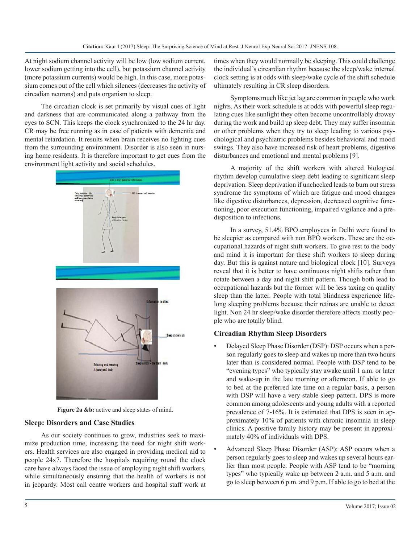At night sodium channel activity will be low (low sodium current, lower sodium getting into the cell), but potassium channel activity (more potassium currents) would be high. In this case, more potassium comes out of the cell which silences (decreases the activity of circadian neurons) and puts organism to sleep.

The circadian clock is set primarily by visual cues of light and darkness that are communicated along a pathway from the eyes to SCN. This keeps the clock synchronized to the 24 hr day. CR may be free running as in case of patients with dementia and mental retardation. It results when brain receives no lighting cues from the surrounding environment. Disorder is also seen in nursing home residents. It is therefore important to get cues from the environment light activity and social schedules.



Figure 2a &b: active and sleep states of mind.

#### **Sleep: Disorders and Case Studies**

As our society continues to grow, industries seek to maximize production time, increasing the need for night shift workers. Health services are also engaged in providing medical aid to people 24x7. Therefore the hospitals requiring round the clock care have always faced the issue of employing night shift workers, while simultaneously ensuring that the health of workers is not in jeopardy. Most call centre workers and hospital staff work at times when they would normally be sleeping. This could challenge the individual's circardian rhythm because the sleep/wake internal clock setting is at odds with sleep/wake cycle of the shift schedule ultimately resulting in CR sleep disorders.

Symptoms much like jet lag are common in people who work nights. As their work schedule is at odds with powerful sleep regulating cues like sunlight they often become uncontrollably drowsy during the work and build up sleep debt. They may suffer insomnia or other problems when they try to sleep leading to various psychological and psychiatric problems besides behavioral and mood swings. They also have increased risk of heart problems, digestive disturbances and emotional and mental problems [9].

A majority of the shift workers with altered biological rhythm develop cumulative sleep debt leading to significant sleep deprivation. Sleep deprivation if unchecked leads to burn out stress syndrome the symptoms of which are fatigue and mood changes like digestive disturbances, depression, decreased cognitive functioning, poor execution functioning, impaired vigilance and a predisposition to infections.

In a survey, 51.4% BPO employees in Delhi were found to be sleepier as compared with non BPO workers. These are the occupational hazards of night shift workers. To give rest to the body and mind it is important for these shift workers to sleep during day. But this is against nature and biological clock [10]. Surveys reveal that it is better to have continuous night shifts rather than rotate between a day and night shift pattern. Though both lead to occupational hazards but the former will be less taxing on quality sleep than the latter. People with total blindness experience lifelong sleeping problems because their retinas are unable to detect light. Non 24 hr sleep/wake disorder therefore affects mostly people who are totally blind.

#### **Circadian Rhythm Sleep Disorders**

- Delayed Sleep Phase Disorder (DSP): DSP occurs when a person regularly goes to sleep and wakes up more than two hours later than is considered normal. People with DSP tend to be "evening types" who typically stay awake until 1 a.m. or later and wake-up in the late morning or afternoon. If able to go to bed at the preferred late time on a regular basis, a person with DSP will have a very stable sleep pattern. DPS is more common among adolescents and young adults with a reported prevalence of 7-16%. It is estimated that DPS is seen in approximately 10% of patients with chronic insomnia in sleep clinics. A positive family history may be present in approximately 40% of individuals with DPS.
- Advanced Sleep Phase Disorder (ASP): ASP occurs when a person regularly goes to sleep and wakes up several hours earlier than most people. People with ASP tend to be "morning types" who typically wake up between 2 a.m. and 5 a.m. and go to sleep between 6 p.m. and 9 p.m. If able to go to bed at the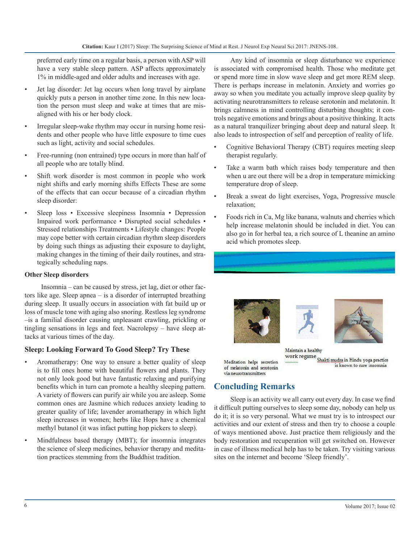preferred early time on a regular basis, a person with ASP will have a very stable sleep pattern. ASP affects approximately 1% in middle-aged and older adults and increases with age.

- Jet lag disorder: Jet lag occurs when long travel by airplane quickly puts a person in another time zone. In this new location the person must sleep and wake at times that are misaligned with his or her body clock.
- Irregular sleep-wake rhythm may occur in nursing home residents and other people who have little exposure to time cues such as light, activity and social schedules.
- Free-running (non entrained) type occurs in more than half of all people who are totally blind.
- Shift work disorder is most common in people who work night shifts and early morning shifts Effects These are some of the effects that can occur because of a circadian rhythm sleep disorder:
- Sleep loss Excessive sleepiness Insomnia Depression Impaired work performance • Disrupted social schedules • Stressed relationships Treatments • Lifestyle changes: People may cope better with certain circadian rhythm sleep disorders by doing such things as adjusting their exposure to daylight, making changes in the timing of their daily routines, and strategically scheduling naps.

#### **Other Sleep disorders**

Insomnia – can be caused by stress, jet lag, diet or other factors like age. Sleep apnea – is a disorder of interrupted breathing during sleep. It usually occurs in association with fat build up or loss of muscle tone with aging also snoring. Restless leg syndrome –is a familial disorder causing unpleasant crawling, prickling or tingling sensations in legs and feet. Nacrolepsy – have sleep attacks at various times of the day.

#### **Sleep: Looking Forward To Good Sleep? Try These**

- Aromatherapy: One way to ensure a better quality of sleep is to fill ones home with beautiful flowers and plants. They not only look good but have fantastic relaxing and purifying benefits which in turn can promote a healthy sleeping pattern. A variety of flowers can purify air while you are asleep. Some common ones are Jasmine which reduces anxiety leading to greater quality of life; lavender aromatherapy in which light sleep increases in women; herbs like Hops have a chemical methyl butanol (it was infact putting hop pickers to sleep).
- Mindfulness based therapy (MBT); for insomnia integrates the science of sleep medicines, behavior therapy and meditation practices stemming from the Buddhist tradition.

Any kind of insomnia or sleep disturbance we experience is associated with compromised health. Those who meditate get or spend more time in slow wave sleep and get more REM sleep. There is perhaps increase in melatonin. Anxiety and worries go away so when you meditate you actually improve sleep quality by activating neurotransmitters to release serotonin and melatonin. It brings calmness in mind controlling disturbing thoughts; it controls negative emotions and brings about a positive thinking. It acts as a natural tranquilizer bringing about deep and natural sleep. It also leads to introspection of self and perception of reality of life.

- Cognitive Behavioral Therapy (CBT) requires meeting sleep therapist regularly.
- Take a warm bath which raises body temperature and then when u are out there will be a drop in temperature mimicking temperature drop of sleep.
- Break a sweat do light exercises, Yoga, Progressive muscle relaxation;
- Foods rich in Ca, Mg like banana, walnuts and cherries which help increase melatonin should be included in diet. You can also go in for herbal tea, a rich source of L theanine an amino acid which promotes sleep.







Maintain a healthy work regime Shakti mudra in Hindu yoga practice is known to cure insomnia

### Meditation helps secretion via neurotransmitters

#### **Concluding Remarks**

Sleep is an activity we all carry out every day. In case we find it difficult putting ourselves to sleep some day, nobody can help us do it; it is so very personal. What we must try is to introspect our activities and our extent of stress and then try to choose a couple of ways mentioned above. Just practice them religiously and the body restoration and recuperation will get switched on. However in case of illness medical help has to be taken. Try visiting various sites on the internet and become 'Sleep friendly'.